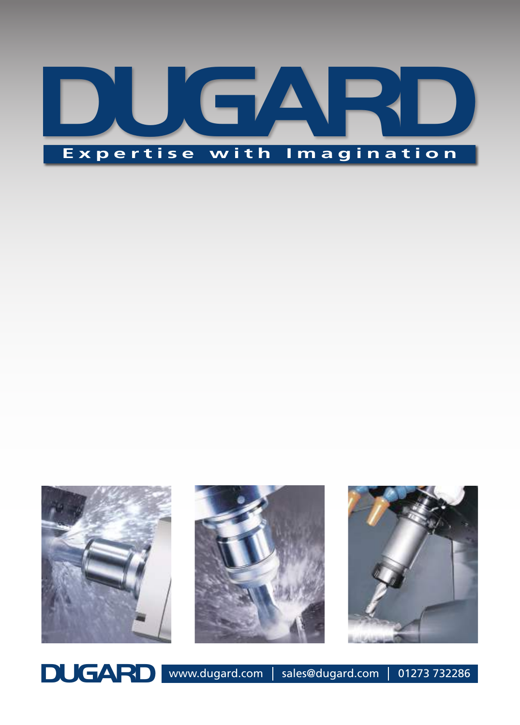







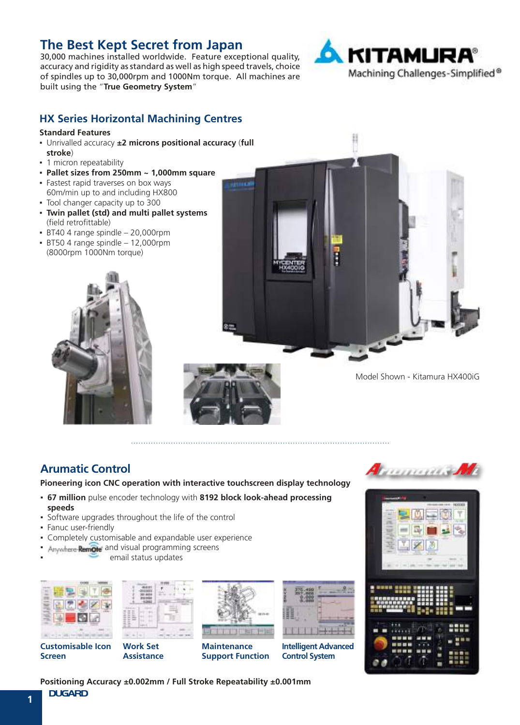## **The Best Kept Secret from Japan**

30,000 machines installed worldwide. Feature exceptional quality, accuracy and rigidity as standard as well as high speed travels, choice of spindles up to 30,000rpm and 1000Nm torque. All machines are built using the "**True Geometry System**"



#### **HX Series Horizontal Machining Centres**

#### **Standard Features**

- Unrivalled accuracy **±2 microns positional accuracy** (**full stroke**)
- **·** 1 micron repeatability
- **Pallet sizes from 250mm ~ 1,000mm square**
- Fastest rapid traverses on box ways 60m/min up to and including HX800
- Tool changer capacity up to 300
- **Twin pallet (std) and multi pallet systems**  (field retrofittable)
- $\cdot$  BT40 4 range spindle  $-$  20,000rpm
- $\cdot$  BT50 4 range spindle  $-12,000$ rpm (8000rpm 1000Nm torque)



Model Shown - Kitamura HX400iG

## **Arumatic Control**

**Pioneering icon CNC operation with interactive touchscreen display technology**

- **67 million** pulse encoder technology with **8192 block look-ahead processing speeds**
- Software upgrades throughout the life of the control
- Fanuc user-friendly
- **Completely customisable and expandable user experience**
- Anywhere **Remote** and visual programming screens
	- email status updates











**Maintenance Support Function**



**Intelligent Advanced Control System**





**Positioning Accuracy ±0.002mm / Full Stroke Repeatability ±0.001mm**

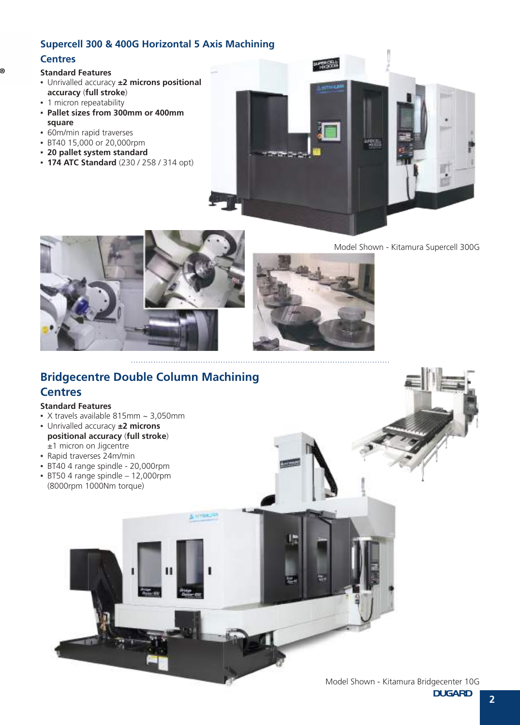#### **Supercell 300 & 400G Horizontal 5 Axis Machining**

#### **Centres**

®

#### **Standard Features**

- Unrivalled accuracy **±2 microns positional accuracy** (**full stroke**)
- **1 micron repeatability**
- **Pallet sizes from 300mm or 400mm square**
- **60m/min rapid traverses**
- BT40 15,000 or 20,000rpm
- **20 pallet system standard**
- **174 ATC Standard** (230 / 258 / 314 opt)





Model Shown - Kitamura Supercell 300G



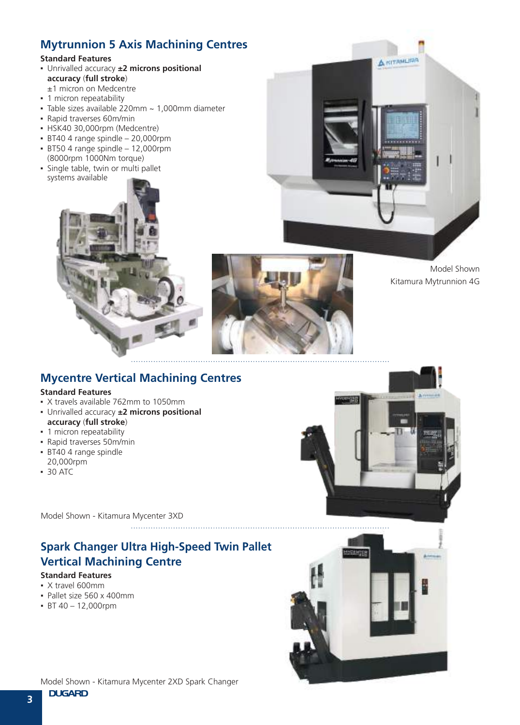## **Mytrunnion 5 Axis Machining Centres**

#### **Standard Features**

- Unrivalled accuracy **±2 microns positional accuracy** (**full stroke**)
- ±1 micron on Medcentre
- **·** 1 micron repeatability
- $\overline{\phantom{a}}$  Table sizes available 220mm  $\sim$  1.000mm diameter • Rapid traverses 60m/min
- HSK40 30,000rpm (Medcentre)
- $\cdot$  BT40 4 range spindle 20,000rpm
- $\cdot$  BT50 4 range spindle 12,000rpm (8000rpm 1000Nm torque)
- Single table, twin or multi pallet systems available





Model Shown Kitamura Mytrunnion 4G

## **Mycentre Vertical Machining Centres**

#### **Standard Features**

- X travels available 762mm to 1050mm
- Unrivalled accuracy **±2 microns positional accuracy** (**full stroke**)
- **·** 1 micron repeatability
- Rapid traverses 50m/min
- **BT40 4 range spindle** 20,000rpm
- 30 ATC

Model Shown - Kitamura Mycenter 3XD

## **Spark Changer Ultra High-Speed Twin Pallet Vertical Machining Centre**

- X travel 600mm
- Pallet size 560 x 400mm
- $•$  BT 40 12,000rpm



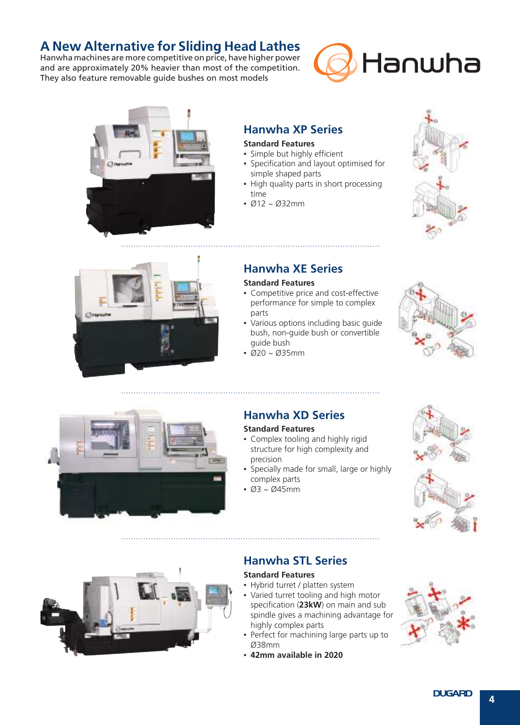## **A New Alternative for Sliding Head Lathes**

Hanwha machines are more competitive on price, have higher power and are approximately 20% heavier than most of the competition. They also feature removable guide bushes on most models





## **Hanwha XP Series**

#### **Standard Features**

- Simple but highly efficient
- Specification and layout optimised for simple shaped parts
- High quality parts in short processing time
- $.612 \times 032$  mm





## **Hanwha XE Series**

#### **Standard Features**

- **Competitive price and cost-effective** performance for simple to complex parts
- Various options including basic guide bush, non-guide bush or convertible guide bush
- Ø20 ~ Ø35mm





## **Hanwha XD Series**

#### **Standard Features**

- Complex tooling and highly rigid structure for high complexity and precision
- **Specially made for small, large or highly** complex parts
- $\cdot$  Ø3 ~ Ø45mm





## **Hanwha STL Series**

- Hybrid turret / platten system
- Varied turret tooling and high motor specification (**23kW**) on main and sub spindle gives a machining advantage for highly complex parts
- Perfect for machining large parts up to Ø38mm
- **42mm available in 2020**

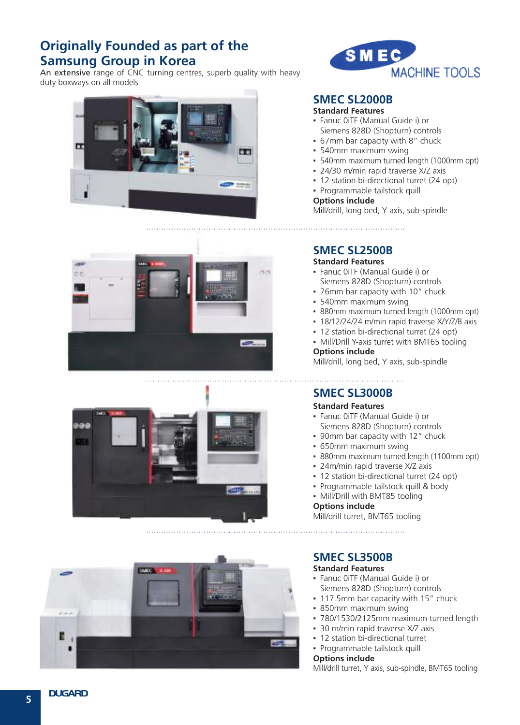## **Originally Founded as part of the Samsung Group in Korea**

An extensive range of CNC turning centres, superb quality with heavy duty boxways on all models











## **SMEC SL2000B**

#### **Standard Features**

- Fanuc 0iTF (Manual Guide i) or Siemens 828D (Shopturn) controls
- 67mm bar capacity with 8" chuck
- 540mm maximum swing
- 540mm maximum turned length (1000mm opt)
- 24/30 m/min rapid traverse X/Z axis
- 12 station bi-directional turret (24 opt)
- Programmable tailstock quill

#### **Options include**

Mill/drill, long bed, Y axis, sub-spindle

**SMEC SL2500B**

#### **Standard Features**

- Fanuc 0iTF (Manual Guide i) or Siemens 828D (Shopturn) controls
- 76mm bar capacity with 10" chuck
- 540mm maximum swing
- 880mm maximum turned length (1000mm opt)
- 18/12/24/24 m/min rapid traverse X/Y/Z/B axis
- 12 station bi-directional turret (24 opt)
- Mill/Drill Y-axis turret with BMT65 tooling **Options include**

Mill/drill, long bed, Y axis, sub-spindle

## **SMEC SL3000B**

#### **Standard Features**

- Fanuc 0iTF (Manual Guide i) or Siemens 828D (Shopturn) controls
- 90mm bar capacity with 12" chuck
- 650mm maximum swing
- 880mm maximum turned length (1100mm opt)
- 24m/min rapid traverse X/Z axis
- 12 station bi-directional turret (24 opt)
- Programmable tailstock quill & body
- Mill/Drill with BMT85 tooling

#### **Options include**

Mill/drill turret, BMT65 tooling

## **SMEC SL3500B**

#### **Standard Features**

- Fanuc 0iTF (Manual Guide i) or Siemens 828D (Shopturn) controls
- **.** 117.5mm bar capacity with 15" chuck
- 850mm maximum swing
- 780/1530/2125mm maximum turned length
- 30 m/min rapid traverse X/Z axis
- 12 station bi-directional turret
- Programmable tailstock quill

#### **Options include**

Mill/drill turret, Y axis, sub-spindle, BMT65 tooling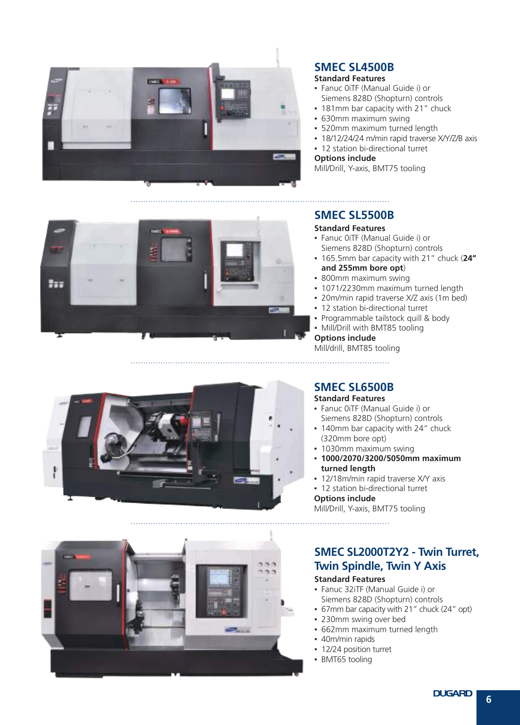



- Fanuc 0iTF (Manual Guide i) or Siemens 828D (Shopturn) controls
- 181mm bar capacity with 21" chuck
- 630mm maximum swing
- 520mm maximum turned length
- 18/12/24/24 m/min rapid traverse X/Y/Z/B axis
- 12 station bi-directional turret

#### **Options include**

Mill/Drill, Y-axis, BMT75 tooling



### **SMEC SL5500B**

#### **Standard Features**

- Fanuc 0iTF (Manual Guide i) or Siemens 828D (Shopturn) controls
- 165.5mm bar capacity with 21" chuck (**24" and 255mm bore opt**)
- 800mm maximum swing
- 1071/2230mm maximum turned length
- 20m/min rapid traverse X/Z axis (1m bed)
- 12 station bi-directional turret
- Programmable tailstock quill & body
- Mill/Drill with BMT85 tooling

**Options include** Mill/drill, BMT85 tooling



#### **SMEC SL6500B**

**Standard Features**

- Fanuc 0iTF (Manual Guide i) or Siemens 828D (Shopturn) controls
- 140mm bar capacity with 24" chuck (320mm bore opt)
- 1030mm maximum swing
- **1000/2070/3200/5050mm maximum turned length**
- **.** 12/18m/min rapid traverse X/Y axis
- 12 station bi-directional turret

**Options include** Mill/Drill, Y-axis, BMT75 tooling

## **SMEC SL2000T2Y2 - Twin Turret, Twin Spindle, Twin Y Axis**

- Fanuc 32iTF (Manual Guide i) or Siemens 828D (Shopturn) controls
- 67mm bar capacity with 21" chuck (24" opt)
- 230mm swing over bed
- 662mm maximum turned length
- 40m/min rapids
- 12/24 position turret
- **BMT65** tooling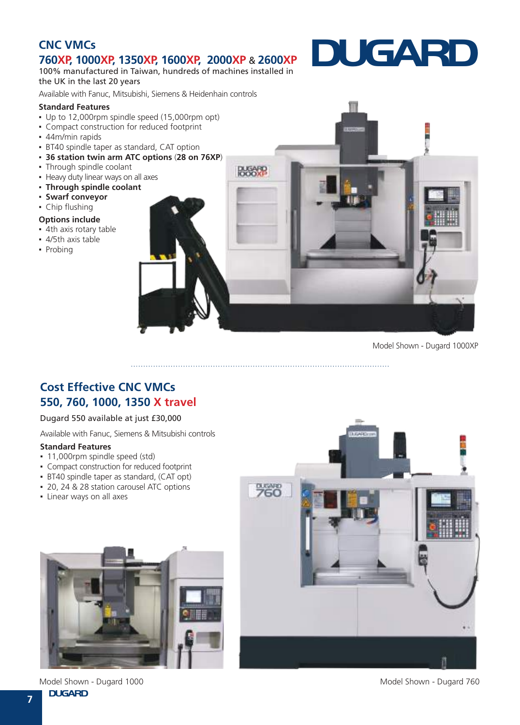## **CNC VMCs 760XP, 1000XP, 1350XP, 1600XP, 2000XP** & **2600XP**

100% manufactured in Taiwan, hundreds of machines installed in the UK in the last 20 years

Available with Fanuc, Mitsubishi, Siemens & Heidenhain controls

#### **Standard Features**

- Up to 12,000rpm spindle speed (15,000rpm opt)
- Compact construction for reduced footprint
- 44m/min rapids
- **BT40 spindle taper as standard, CAT option**
- **36 station twin arm ATC options** (**28 on 76XP**)
- Through spindle coolant
- **Heavy duty linear ways on all axes**
- **Through spindle coolant**
- **Swarf conveyor**
- Chip flushing

#### **Options include**

- 4th axis rotary table
- 4/5th axis table
- Probing



**DUGARD**

Model Shown - Dugard 1000XP

## **Cost Effective CNC VMCs 550, 760, 1000, 1350 X travel**

#### Dugard 550 available at just £30,000

Available with Fanuc, Siemens & Mitsubishi controls

#### **Standard Features**

- 11,000rpm spindle speed (std)
- Compact construction for reduced footprint
- **·** BT40 spindle taper as standard, (CAT opt)
- 20, 24 & 28 station carousel ATC options
- **·** Linear ways on all axes





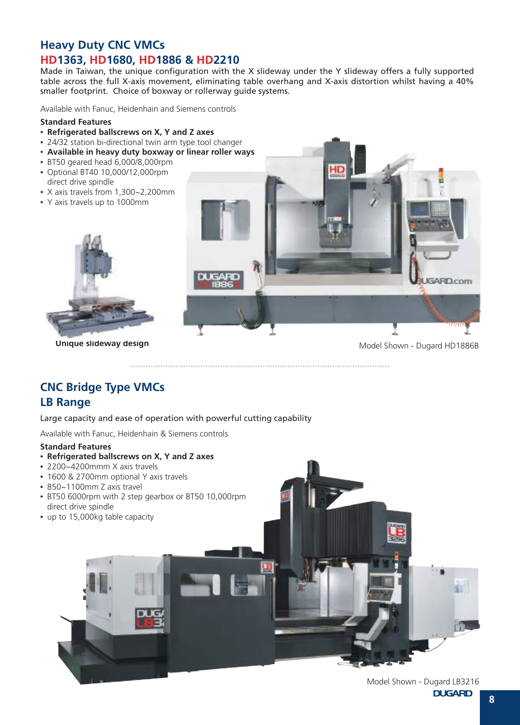## **Heavy Duty CNC VMCs HD1363, HD1680, HD1886 & HD2210**

Made in Taiwan, the unique configuration with the X slideway under the Y slideway offers a fully supported table across the full X-axis movement, eliminating table overhang and X-axis distortion whilst having a 40% smaller footprint. Choice of boxway or rollerway guide systems.

Available with Fanuc, Heidenhain and Siemens controls

#### **Standard Features**

- **Refrigerated ballscrews on X, Y and Z axes**
- 24/32 station bi-directional twin arm type tool changer
- **Available in heavy duty boxway or linear roller ways**
- BT50 geared head 6,000/8,000rpm
- Optional BT40 10,000/12,000rpm direct drive spindle
- X axis travels from 1,300~2,200mm
- Y axis travels up to 1000mm



**Unique slideway design** Model Shown - Dugard HD1886B

**ARD**com

## **CNC Bridge Type VMCs**

#### **LB Range**

Large capacity and ease of operation with powerful cutting capability

Available with Fanuc, Heidenhain & Siemens controls

#### **Standard Features**

- **Refrigerated ballscrews on X, Y and Z axes**
- 2200~4200mmm X axis travels
- 1600 & 2700mm optional Y axis travels
- 850~1100mm Z axis travel
- BT50 6000rpm with 2 step gearbox or BT50 10,000rpm direct drive spindle
- up to 15,000kg table capacity



**DUGARD**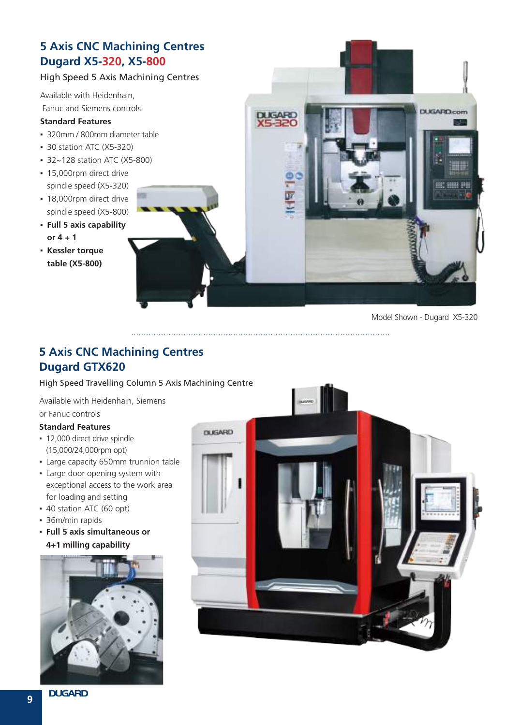## **5 Axis CNC Machining Centres Dugard X5-320, X5-800**

#### High Speed 5 Axis Machining Centres

Available with Heidenhain, Fanuc and Siemens controls

#### **Standard Features**

- 320mm / 800mm diameter table
- 30 station ATC (X5-320)
- 32~128 station ATC (X5-800)
- **·** 15,000rpm direct drive spindle speed (X5-320)
- 18,000rpm direct drive spindle speed (X5-800)
- **Full 5 axis capability or 4 + 1**
- **Kessler torque table (X5-800)**



## **5 Axis CNC Machining Centres Dugard GTX620**

High Speed Travelling Column 5 Axis Machining Centre

Available with Heidenhain, Siemens

or Fanuc controls

- 12,000 direct drive spindle (15,000/24,000rpm opt)
- **Large capacity 650mm trunnion table**
- **.** Large door opening system with exceptional access to the work area for loading and setting
- 40 station ATC (60 opt)
- 36m/min rapids
- **Full 5 axis simultaneous or 4+1 milling capability**



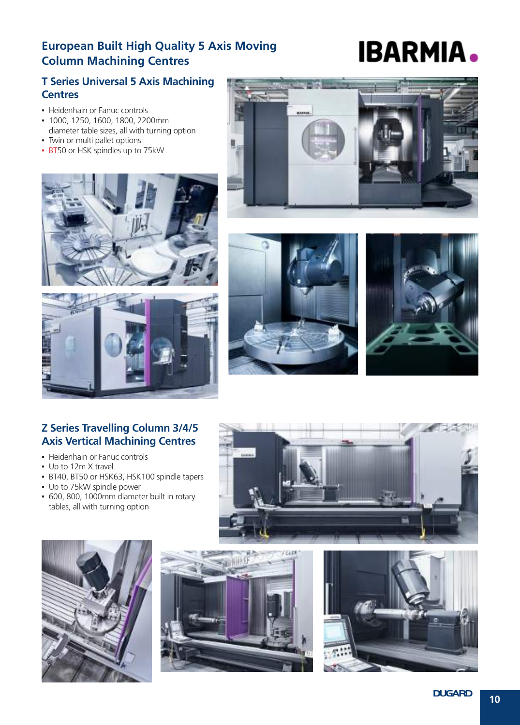## **European Built High Quality 5 Axis Moving Column Machining Centres**

# **IBARMIA.**

## **T Series Universal 5 Axis Machining Centres**

- **Heidenhain or Fanuc controls**
- 1000, 1250, 1600, 1800, 2200mm diameter table sizes, all with turning option
- Twin or multi pallet options
- **· BT50 or HSK spindles up to 75kW**











### **Z Series Travelling Column 3/4/5 Axis Vertical Machining Centres**

- Heidenhain or Fanuc controls
- Up to 12m X travel
- BT40, BT50 or HSK63, HSK100 spindle tapers
- Up to 75kW spindle power
- 600, 800, 1000mm diameter built in rotary tables, all with turning option







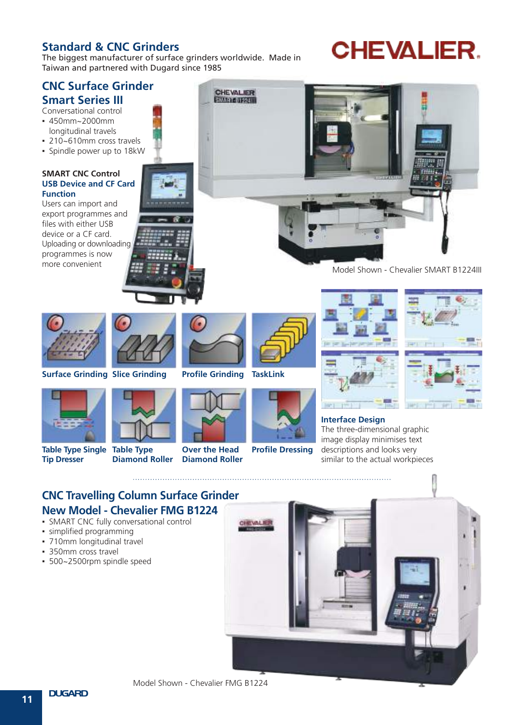## **Standard & CNC Grinders**

The biggest manufacturer of surface grinders worldwide. Made in Taiwan and partnered with Dugard since 1985

## **CHEVALIER.**

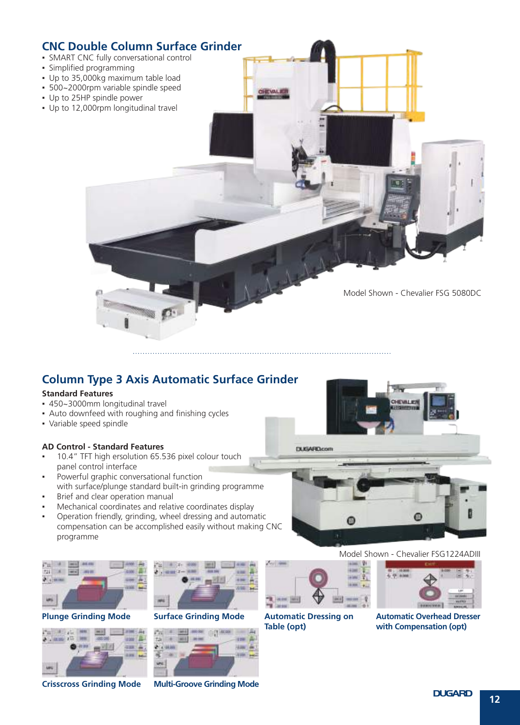

## **Column Type 3 Axis Automatic Surface Grinder**

#### **Standard Features**

- 450~3000mm longitudinal travel
- **Auto downfeed with roughing and finishing cycles**
- Variable speed spindle

#### **AD Control - Standard Features**

- 10.4" TFT high ersolution 65.536 pixel colour touch panel control interface
- Powerful graphic conversational function with surface/plunge standard built-in grinding programme
- Brief and clear operation manual
- Mechanical coordinates and relative coordinates display
- Operation friendly, grinding, wheel dressing and automatic compensation can be accomplished easily without making CNC programme



**Plunge Grinding Mode Surface Grinding Mode**



**Crisscross Grinding Mode Multi-Groove Grinding Mode**





# EWLER **DUGARD.com** ⊛ 佃

#### Model Shown - Chevalier FSG1224ADIII



**Automatic Dressing on Table (opt)**



**Automatic Overhead Dresser with Compensation (opt)**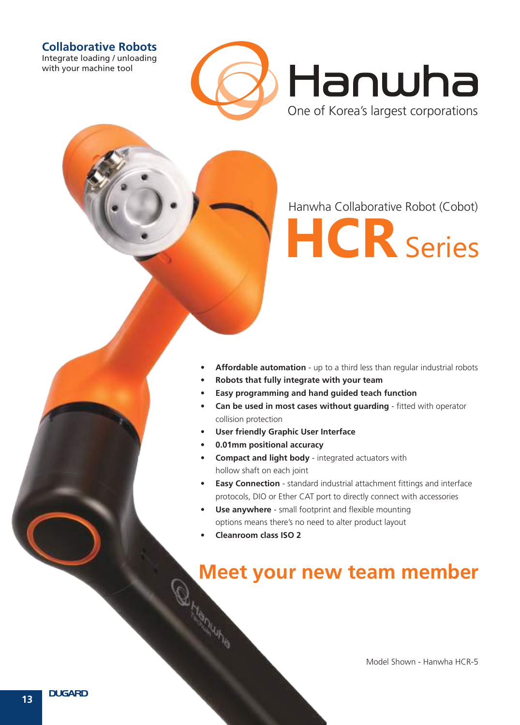#### **Collaborative Robots**

Integrate loading / unloading with your machine tool



Hanwha Collaborative Robot (Cobot)



- **Affordable automation** up to a third less than regular industrial robots
- **• Robots that fully integrate with your team**
- **Easy programming and hand guided teach function**
- **Can be used in most cases without quarding** fitted with operator collision protection
- **User friendly Graphic User Interface**
- **• 0.01mm positional accuracy**
- **• Compact and light body**  integrated actuators with hollow shaft on each joint
- **Easy Connection** standard industrial attachment fittings and interface protocols, DIO or Ether CAT port to directly connect with accessories
- **Use anywhere** small footprint and flexible mounting options means there's no need to alter product layout
- **• Cleanroom class ISO 2**

## **Meet your new team member**

Model Shown - Hanwha HCR-5

**13**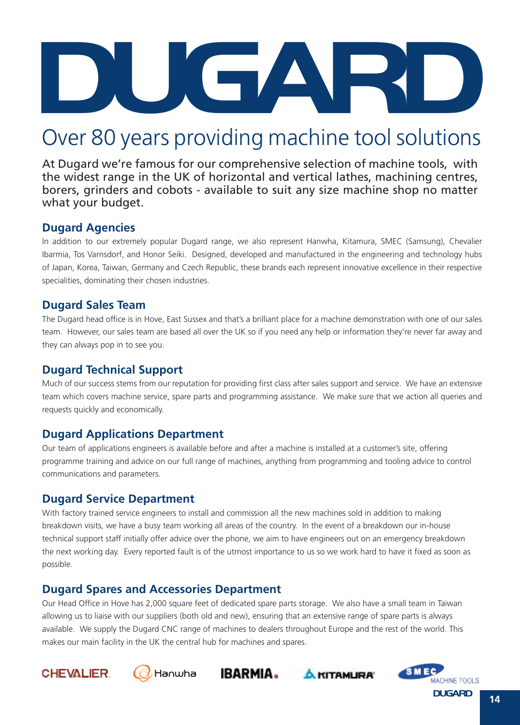

## Over 80 years providing machine tool solutions

At Dugard we're famous for our comprehensive selection of machine tools, with the widest range in the UK of horizontal and vertical lathes, machining centres, borers, grinders and cobots - available to suit any size machine shop no matter what your budget.

#### **Dugard Agencies**

In addition to our extremely popular Dugard range, we also represent Hanwha, Kitamura, SMEC (Samsung), Chevalier Ibarmia, Tos Varnsdorf, and Honor Seiki. Designed, developed and manufactured in the engineering and technology hubs of Japan, Korea, Taiwan, Germany and Czech Republic, these brands each represent innovative excellence in their respective specialities, dominating their chosen industries.

### **Dugard Sales Team**

The Dugard head office is in Hove, East Sussex and that's a brilliant place for a machine demonstration with one of our sales team. However, our sales team are based all over the UK so if you need any help or information they're never far away and they can always pop in to see you.

## **Dugard Technical Support**

Much of our success stems from our reputation for providing first class after sales support and service. We have an extensive team which covers machine service, spare parts and programming assistance. We make sure that we action all queries and requests quickly and economically.

## **Dugard Applications Department**

Our team of applications engineers is available before and after a machine is installed at a customer's site, offering programme training and advice on our full range of machines, anything from programming and tooling advice to control communications and parameters.

## **Dugard Service Department**

With factory trained service engineers to install and commission all the new machines sold in addition to making breakdown visits, we have a busy team working all areas of the country. In the event of a breakdown our in-house technical support staff initially offer advice over the phone, we aim to have engineers out on an emergency breakdown the next working day. Every reported fault is of the utmost importance to us so we work hard to have it fixed as soon as possible.

## **Dugard Spares and Accessories Department**

Our Head Office in Hove has 2,000 square feet of dedicated spare parts storage. We also have a small team in Taiwan allowing us to liaise with our suppliers (both old and new), ensuring that an extensive range of spare parts is always available. We supply the Dugard CNC range of machines to dealers throughout Europe and the rest of the world. This makes our main facility in the UK the central hub for machines and spares.